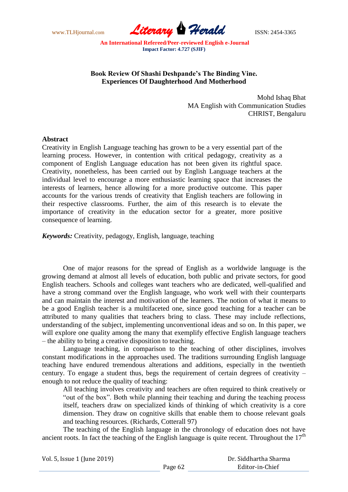

# **Book Review Of Shashi Deshpande's The Binding Vine. Experiences Of Daughterhood And Motherhood**

Mohd Ishaq Bhat MA English with Communication Studies CHRIST, Bengaluru

#### **Abstract**

Creativity in English Language teaching has grown to be a very essential part of the learning process. However, in contention with critical pedagogy, creativity as a component of English Language education has not been given its rightful space. Creativity, nonetheless, has been carried out by English Language teachers at the individual level to encourage a more enthusiastic learning space that increases the interests of learners, hence allowing for a more productive outcome. This paper accounts for the various trends of creativity that English teachers are following in their respective classrooms. Further, the aim of this research is to elevate the importance of creativity in the education sector for a greater, more positive consequence of learning.

*Keywords:* Creativity, pedagogy, English, language, teaching

One of major reasons for the spread of English as a worldwide language is the growing demand at almost all levels of education, both public and private sectors, for good English teachers. Schools and colleges want teachers who are dedicated, well-qualified and have a strong command over the English language, who work well with their counterparts and can maintain the interest and motivation of the learners. The notion of what it means to be a good English teacher is a multifaceted one, since good teaching for a teacher can be attributed to many qualities that teachers bring to class. These may include reflections, understanding of the subject, implementing unconventional ideas and so on. In this paper, we will explore one quality among the many that exemplify effective English language teachers – the ability to bring a creative disposition to teaching.

Language teaching, in comparison to the teaching of other disciplines, involves constant modifications in the approaches used. The traditions surrounding English language teaching have endured tremendous alterations and additions, especially in the twentieth century. To engage a student thus, begs the requirement of certain degrees of creativity – enough to not reduce the quality of teaching:

All teaching involves creativity and teachers are often required to think creatively or "out of the box". Both while planning their teaching and during the teaching process itself, teachers draw on specialized kinds of thinking of which creativity is a core dimension. They draw on cognitive skills that enable them to choose relevant goals and teaching resources. (Richards, Cotterall 97)

The teaching of the English language in the chronology of education does not have ancient roots. In fact the teaching of the English language is quite recent. Throughout the  $17<sup>th</sup>$ 

| Vol. 5, Issue 1 (June 2019) |         | Dr. Siddhartha Sharma |
|-----------------------------|---------|-----------------------|
|                             | Page 62 | Editor-in-Chief       |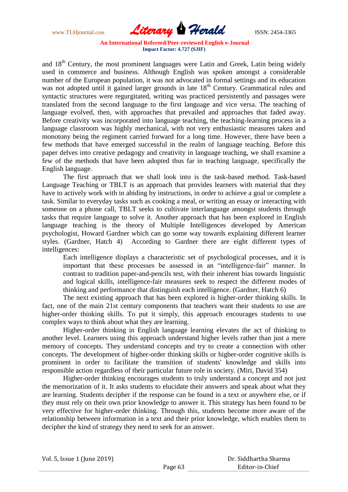www.TLHjournal.com *Literary Herald*ISSN: 2454-3365

and 18<sup>th</sup> Century, the most prominent languages were Latin and Greek, Latin being widely used in commerce and business. Although English was spoken amongst a considerable number of the European population, it was not advocated in formal settings and its education was not adopted until it gained larger grounds in late 18<sup>th</sup> Century. Grammatical rules and syntactic structures were regurgitated, writing was practiced persistently and passages were translated from the second language to the first language and vice versa. The teaching of language evolved, then, with approaches that prevailed and approaches that faded away. Before creativity was incorporated into language teaching, the teaching-learning process in a language classroom was highly mechanical, with not very enthusiastic measures taken and monotony being the regiment carried forward for a long time. However, there have been a few methods that have emerged successful in the realm of language teaching. Before this paper delves into creative pedagogy and creativity in language teaching, we shall examine a few of the methods that have been adopted thus far in teaching language, specifically the English language.

The first approach that we shall look into is the task-based method. Task-based Language Teaching or TBLT is an approach that provides learners with material that they have to actively work with in abiding by instructions, in order to achieve a goal or complete a task. Similar to everyday tasks such as cooking a meal, or writing an essay or interacting with someone on a phone call, TBLT seeks to cultivate interlanguage amongst students through tasks that require language to solve it. Another approach that has been explored in English language teaching is the theory of Multiple Intelligences developed by American psychologist, Howard Gardner which can go some way towards explaining different learner styles. (Gardner, Hatch 4) According to Gardner there are eight different types of intelligences:

Each intelligence displays a characteristic set of psychological processes, and it is important that these processes be assessed in an "intelligence-fair" manner. In contrast to tradition paper-and-pencils test, with their inherent bias towards linguistic and logical skills, intelligence-fair measures seek to respect the different modes of thinking and performance that distinguish each intelligence. (Gardner, Hatch 6)

The next existing approach that has been explored is higher-order thinking skills. In fact, one of the main 21st century components that teachers want their students to use are higher-order thinking skills. To put it simply, this approach encourages students to use complex ways to think about what they are learning.

Higher-order thinking in English language learning elevates the act of thinking to another level. Learners using this approach understand higher levels rather than just a mere memory of concepts. They understand concepts and try to create a connection with other concepts. The development of higher-order thinking skills or higher-order cognitive skills is prominent in order to facilitate the transition of students' knowledge and skills into responsible action regardless of their particular future role in society. (Miri, David 354)

Higher-order thinking encourages students to truly understand a concept and not just the memorization of it. It asks students to elucidate their answers and speak about what they are learning. Students decipher if the response can be found in a text or anywhere else, or if they must rely on their own prior knowledge to answer it. This strategy has been found to be very effective for higher-order thinking. Through this, students become more aware of the relationship between information in a text and their prior knowledge, which enables them to decipher the kind of strategy they need to seek for an answer.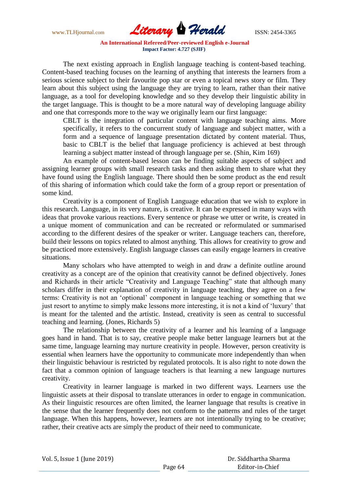

The next existing approach in English language teaching is content-based teaching. Content-based teaching focuses on the learning of anything that interests the learners from a serious science subject to their favourite pop star or even a topical news story or film. They learn about this subject using the language they are trying to learn, rather than their native language, as a tool for developing knowledge and so they develop their linguistic ability in the target language. This is thought to be a more natural way of developing language ability and one that corresponds more to the way we originally learn our first language:

CBLT is the integration of particular content with language teaching aims. More specifically, it refers to the concurrent study of language and subject matter, with a form and a sequence of language presentation dictated by content material. Thus, basic to CBLT is the belief that language proficiency is achieved at best through learning a subject matter instead of through language per se. (Shin, Kim 169)

An example of content-based lesson can be finding suitable aspects of subject and assigning learner groups with small research tasks and then asking them to share what they have found using the English language. There should then be some product as the end result of this sharing of information which could take the form of a group report or presentation of some kind.

Creativity is a component of English Language education that we wish to explore in this research. Language, in its very nature, is creative. It can be expressed in many ways with ideas that provoke various reactions. Every sentence or phrase we utter or write, is created in a unique moment of communication and can be recreated or reformulated or summarised according to the different desires of the speaker or writer. Language teachers can, therefore, build their lessons on topics related to almost anything. This allows for creativity to grow and be practiced more extensively. English language classes can easily engage learners in creative situations.

Many scholars who have attempted to weigh in and draw a definite outline around creativity as a concept are of the opinion that creativity cannot be defined objectively. Jones and Richards in their article "Creativity and Language Teaching" state that although many scholars differ in their explanation of creativity in language teaching, they agree on a few terms: Creativity is not an "optional" component in language teaching or something that we just resort to anytime to simply make lessons more interesting, it is not a kind of 'luxury' that is meant for the talented and the artistic. Instead, creativity is seen as central to successful teaching and learning. (Jones, Richards 5)

The relationship between the creativity of a learner and his learning of a language goes hand in hand. That is to say, creative people make better language learners but at the same time, language learning may nurture creativity in people. However, person creativity is essential when learners have the opportunity to communicate more independently than when their linguistic behaviour is restricted by regulated protocols. It is also right to note down the fact that a common opinion of language teachers is that learning a new language nurtures creativity.

Creativity in learner language is marked in two different ways. Learners use the linguistic assets at their disposal to translate utterances in order to engage in communication. As their linguistic resources are often limited, the learner language that results is creative in the sense that the learner frequently does not conform to the patterns and rules of the target language. When this happens, however, learners are not intentionally trying to be creative; rather, their creative acts are simply the product of their need to communicate.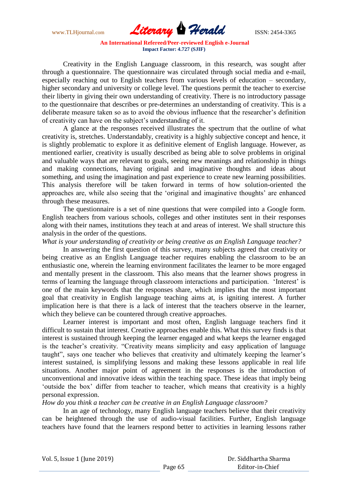www.TLHjournal.com **Literary Herald** ISSN: 2454-3365

Creativity in the English Language classroom, in this research, was sought after through a questionnaire. The questionnaire was circulated through social media and e-mail, especially reaching out to English teachers from various levels of education – secondary, higher secondary and university or college level. The questions permit the teacher to exercise their liberty in giving their own understanding of creativity. There is no introductory passage to the questionnaire that describes or pre-determines an understanding of creativity. This is a deliberate measure taken so as to avoid the obvious influence that the researcher"s definition of creativity can have on the subject"s understanding of it.

A glance at the responses received illustrates the spectrum that the outline of what creativity is, stretches. Understandably, creativity is a highly subjective concept and hence, it is slightly problematic to explore it as definitive element of English language. However, as mentioned earlier, creativity is usually described as being able to solve problems in original and valuable ways that are relevant to goals, seeing new meanings and relationship in things and making connections, having original and imaginative thoughts and ideas about something, and using the imagination and past experience to create new learning possibilities. This analysis therefore will be taken forward in terms of how solution-oriented the approaches are, while also seeing that the 'original and imaginative thoughts' are enhanced through these measures.

The questionnaire is a set of nine questions that were compiled into a Google form. English teachers from various schools, colleges and other institutes sent in their responses along with their names, institutions they teach at and areas of interest. We shall structure this analysis in the order of the questions.

*What is your understanding of creativity or being creative as an English Language teacher?*

In answering the first question of this survey, many subjects agreed that creativity or being creative as an English Language teacher requires enabling the classroom to be an enthusiastic one, wherein the learning environment facilitates the learner to be more engaged and mentally present in the classroom. This also means that the learner shows progress in terms of learning the language through classroom interactions and participation. 'Interest' is one of the main keywords that the responses share, which implies that the most important goal that creativity in English language teaching aims at, is igniting interest. A further implication here is that there is a lack of interest that the teachers observe in the learner, which they believe can be countered through creative approaches.

Learner interest is important and most often, English language teachers find it difficult to sustain that interest. Creative approaches enable this. What this survey finds is that interest is sustained through keeping the learner engaged and what keeps the learner engaged is the teacher's creativity. "Creativity means simplicity and easy application of language taught", says one teacher who believes that creativity and ultimately keeping the learner"s interest sustained, is simplifying lessons and making these lessons applicable in real life situations. Another major point of agreement in the responses is the introduction of unconventional and innovative ideas within the teaching space. These ideas that imply being "outside the box" differ from teacher to teacher, which means that creativity is a highly personal expression.

*How do you think a teacher can be creative in an English Language classroom?*

In an age of technology, many English language teachers believe that their creativity can be heightened through the use of audio-visual facilities. Further, English language teachers have found that the learners respond better to activities in learning lessons rather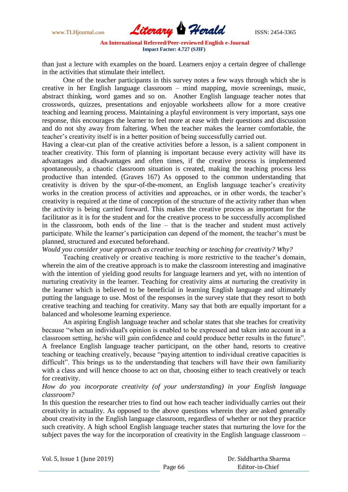www.TLHjournal.com **Literary Herald ISSN: 2454-3365** 

than just a lecture with examples on the board. Learners enjoy a certain degree of challenge in the activities that stimulate their intellect.

One of the teacher participants in this survey notes a few ways through which she is creative in her English language classroom – mind mapping, movie screenings, music, abstract thinking, word games and so on. Another English language teacher notes that crosswords, quizzes, presentations and enjoyable worksheets allow for a more creative teaching and learning process. Maintaining a playful environment is very important, says one response, this encourages the learner to feel more at ease with their questions and discussion and do not shy away from faltering. When the teacher makes the learner comfortable, the teacher"s creativity itself is in a better position of being successfully carried out.

Having a clear-cut plan of the creative activities before a lesson, is a salient component in teacher creativity. This form of planning is important because every activity will have its advantages and disadvantages and often times, if the creative process is implemented spontaneously, a chaotic classroom situation is created, making the teaching process less productive than intended. (Graves 167) As opposed to the common understanding that creativity is driven by the spur-of-the-moment, an English language teacher"s creativity works in the creation process of activities and approaches, or in other words, the teacher's creativity is required at the time of conception of the structure of the activity rather than when the activity is being carried forward. This makes the creative process as important for the facilitator as it is for the student and for the creative process to be successfully accomplished in the classroom, both ends of the line – that is the teacher and student must actively participate. While the learner"s participation can depend of the moment, the teacher"s must be planned, structured and executed beforehand.

*Would you consider your approach as creative teaching or teaching for creativity? Why?*

Teaching creatively or creative teaching is more restrictive to the teacher"s domain, wherein the aim of the creative approach is to make the classroom interesting and imaginative with the intention of yielding good results for language learners and yet, with no intention of nurturing creativity in the learner. Teaching for creativity aims at nurturing the creativity in the learner which is believed to be beneficial in learning English language and ultimately putting the language to use. Most of the responses in the survey state that they resort to both creative teaching and teaching for creativity. Many say that both are equally important for a balanced and wholesome learning experience.

An aspiring English language teacher and scholar states that she teaches for creativity because "when an individual's opinion is enabled to be expressed and taken into account in a classroom setting, he/she will gain confidence and could produce better results in the future". A freelance English language teacher participant, on the other hand, resorts to creative teaching or teaching creatively, because "paying attention to individual creative capacities is difficult". This brings us to the understanding that teachers will have their own familiarity with a class and will hence choose to act on that, choosing either to teach creatively or teach for creativity.

*How do you incorporate creativity (of your understanding) in your English language classroom?*

In this question the researcher tries to find out how each teacher individually carries out their creativity in actuality. As opposed to the above questions wherein they are asked generally about creativity in the English language classroom, regardless of whether or not they practice such creativity. A high school English language teacher states that nurturing the love for the subject paves the way for the incorporation of creativity in the English language classroom –

Vol. 5, Issue 1 (June 2019)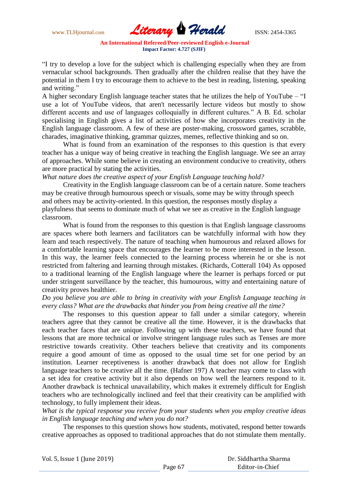

"I try to develop a love for the subject which is challenging especially when they are from vernacular school backgrounds. Then gradually after the children realise that they have the potential in them I try to encourage them to achieve to the best in reading, listening, speaking and writing."

A higher secondary English language teacher states that he utilizes the help of YouTube – "I use a lot of YouTube videos, that aren't necessarily lecture videos but mostly to show different accents and use of languages colloquially in different cultures." A B. Ed. scholar specialising in English gives a list of activities of how she incorporates creativity in the English language classroom. A few of these are poster-making, crossword games, scrabble, charades, imaginative thinking, grammar quizzes, memes, reflective thinking and so on.

What is found from an examination of the responses to this question is that every teacher has a unique way of being creative in teaching the English language. We see an array of approaches. While some believe in creating an environment conducive to creativity, others are more practical by stating the activities.

*What nature does the creative aspect of your English Language teaching hold?*

Creativity in the English language classroom can be of a certain nature. Some teachers may be creative through humourous speech or visuals, some may be witty through speech and others may be activity-oriented. In this question, the responses mostly display a playfulness that seems to dominate much of what we see as creative in the English language classroom.

What is found from the responses to this question is that English language classrooms are spaces where both learners and facilitators can be watchfully informal with how they learn and teach respectively. The nature of teaching when humourous and relaxed allows for a comfortable learning space that encourages the learner to be more interested in the lesson. In this way, the learner feels connected to the learning process wherein he or she is not restricted from faltering and learning through mistakes. (Richards, Cotterall 104) As opposed to a traditional learning of the English language where the learner is perhaps forced or put under stringent surveillance by the teacher, this humourous, witty and entertaining nature of creativity proves healthier.

## *Do you believe you are able to bring in creativity with your English Language teaching in every class? What are the drawbacks that hinder you from being creative all the time?*

The responses to this question appear to fall under a similar category, wherein teachers agree that they cannot be creative all the time. However, it is the drawbacks that each teacher faces that are unique. Following up with these teachers, we have found that lessons that are more technical or involve stringent language rules such as Tenses are more restrictive towards creativity. Other teachers believe that creativity and its components require a good amount of time as opposed to the usual time set for one period by an institution. Learner receptiveness is another drawback that does not allow for English language teachers to be creative all the time. (Hafner 197) A teacher may come to class with a set idea for creative activity but it also depends on how well the learners respond to it. Another drawback is technical unavailability, which makes it extremely difficult for English teachers who are technologically inclined and feel that their creativity can be amplified with technology, to fully implement their ideas.

*What is the typical response you receive from your students when you employ creative ideas in English language teaching and when you do not?*

The responses to this question shows how students, motivated, respond better towards creative approaches as opposed to traditional approaches that do not stimulate them mentally.

| Vol. 5, Issue 1 (June 2019) |         | Dr. Siddhartha Sharma |  |
|-----------------------------|---------|-----------------------|--|
|                             | Page 67 | Editor-in-Chief       |  |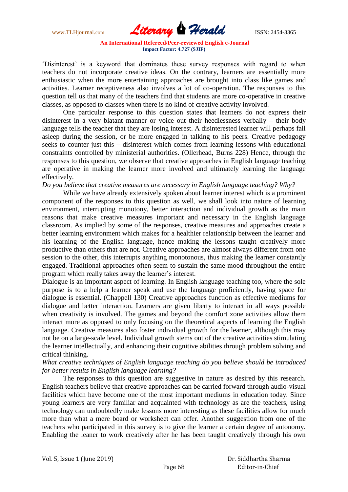www.TLHjournal.com **Literary Herald ISSN: 2454-3365** 

"Disinterest" is a keyword that dominates these survey responses with regard to when teachers do not incorporate creative ideas. On the contrary, learners are essentially more enthusiastic when the more entertaining approaches are brought into class like games and activities. Learner receptiveness also involves a lot of co-operation. The responses to this question tell us that many of the teachers find that students are more co-operative in creative classes, as opposed to classes when there is no kind of creative activity involved.

One particular response to this question states that learners do not express their disinterest in a very blatant manner or voice out their heedlessness verbally – their body language tells the teacher that they are losing interest. A disinterested learner will perhaps fall asleep during the session, or be more engaged in talking to his peers. Creative pedagogy seeks to counter just this – disinterest which comes from learning lessons with educational constraints controlled by ministerial authorities. (Ollerhead, Burns 228) Hence, through the responses to this question, we observe that creative approaches in English language teaching are operative in making the learner more involved and ultimately learning the language effectively.

*Do you believe that creative measures are necessary in English language teaching? Why?*

While we have already extensively spoken about learner interest which is a prominent component of the responses to this question as well, we shall look into nature of learning environment, interrupting monotony, better interaction and individual growth as the main reasons that make creative measures important and necessary in the English language classroom. As implied by some of the responses, creative measures and approaches create a better learning environment which makes for a healthier relationship between the learner and his learning of the English language, hence making the lessons taught creatively more productive than others that are not. Creative approaches are almost always different from one session to the other, this interrupts anything monotonous, thus making the learner constantly engaged. Traditional approaches often seem to sustain the same mood throughout the entire program which really takes away the learner"s interest.

Dialogue is an important aspect of learning. In English language teaching too, where the sole purpose is to a help a learner speak and use the language proficiently, having space for dialogue is essential. (Chappell 130) Creative approaches function as effective mediums for dialogue and better interaction. Learners are given liberty to interact in all ways possible when creativity is involved. The games and beyond the comfort zone activities allow them interact more as opposed to only focusing on the theoretical aspects of learning the English language. Creative measures also foster individual growth for the learner, although this may not be on a large-scale level. Individual growth stems out of the creative activities stimulating the learner intellectually, and enhancing their cognitive abilities through problem solving and critical thinking.

## *What creative techniques of English language teaching do you believe should be introduced for better results in English language learning?*

The responses to this question are suggestive in nature as desired by this research. English teachers believe that creative approaches can be carried forward through audio-visual facilities which have become one of the most important mediums in education today. Since young learners are very familiar and acquainted with technology as are the teachers, using technology can undoubtedly make lessons more interesting as these facilities allow for much more than what a mere board or worksheet can offer. Another suggestion from one of the teachers who participated in this survey is to give the learner a certain degree of autonomy. Enabling the leaner to work creatively after he has been taught creatively through his own

Vol. 5, Issue 1 (June 2019)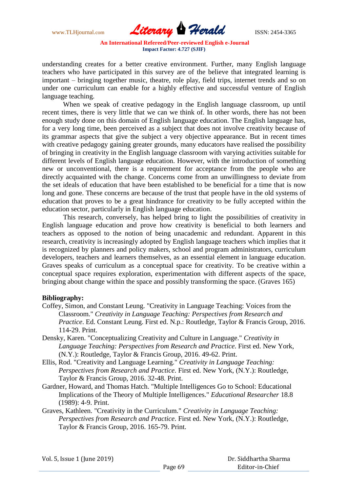www.TLHjournal.com *Literary Herald*ISSN: 2454-3365

understanding creates for a better creative environment. Further, many English language teachers who have participated in this survey are of the believe that integrated learning is important – bringing together music, theatre, role play, field trips, internet trends and so on under one curriculum can enable for a highly effective and successful venture of English language teaching.

When we speak of creative pedagogy in the English language classroom, up until recent times, there is very little that we can we think of. In other words, there has not been enough study done on this domain of English language education. The English language has, for a very long time, been perceived as a subject that does not involve creativity because of its grammar aspects that give the subject a very objective appearance. But in recent times with creative pedagogy gaining greater grounds, many educators have realised the possibility of bringing in creativity in the English language classroom with varying activities suitable for different levels of English language education. However, with the introduction of something new or unconventional, there is a requirement for acceptance from the people who are directly acquainted with the change. Concerns come from an unwillingness to deviate from the set ideals of education that have been established to be beneficial for a time that is now long and gone. These concerns are because of the trust that people have in the old systems of education that proves to be a great hindrance for creativity to be fully accepted within the education sector, particularly in English language education.

This research, conversely, has helped bring to light the possibilities of creativity in English language education and prove how creativity is beneficial to both learners and teachers as opposed to the notion of being unacademic and redundant. Apparent in this research, creativity is increasingly adopted by English language teachers which implies that it is recognized by planners and policy makers, school and program administrators, curriculum developers, teachers and learners themselves, as an essential element in language education. Graves speaks of curriculum as a conceptual space for creativity. To be creative within a conceptual space requires exploration, experimentation with different aspects of the space, bringing about change within the space and possibly transforming the space. (Graves 165)

#### **Bibliography:**

- Coffey, Simon, and Constant Leung. "Creativity in Language Teaching: Voices from the Classroom." *Creativity in Language Teaching: Perspectives from Research and Practice*. Ed. Constant Leung. First ed. N.p.: Routledge, Taylor & Francis Group, 2016. 114-29. Print.
- Densky, Karen. "Conceptualizing Creativity and Culture in Language." *Creativity in Language Teaching: Perspectives from Research and Practice*. First ed. New York, (N.Y.): Routledge, Taylor & Francis Group, 2016. 49-62. Print.
- Ellis, Rod. "Creativity and Language Learning." *Creativity in Language Teaching: Perspectives from Research and Practice*. First ed. New York, (N.Y.): Routledge, Taylor & Francis Group, 2016. 32-48. Print.
- Gardner, Howard, and Thomas Hatch. "Multiple Intelligences Go to School: Educational Implications of the Theory of Multiple Intelligences." *Educational Researcher* 18.8 (1989): 4-9. Print.
- Graves, Kathleen. "Creativity in the Curriculum." *Creativity in Language Teaching: Perspectives from Research and Practice*. First ed. New York, (N.Y.): Routledge, Taylor & Francis Group, 2016. 165-79. Print.